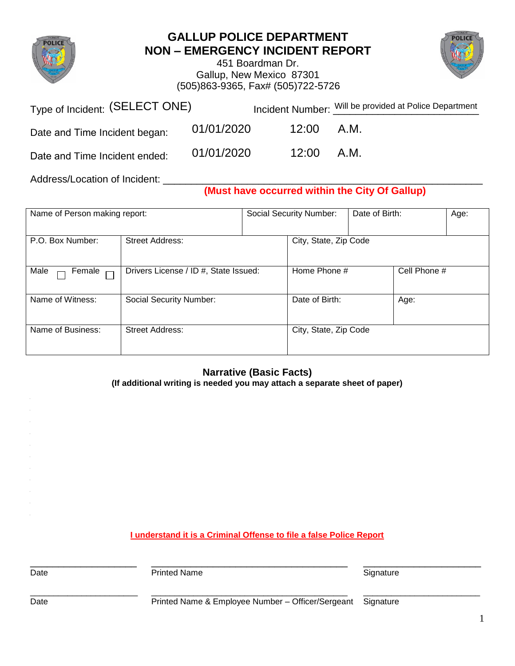

## **GALLUP POLICE DEPARTMENT NON – EMERGENCY INCIDENT REPORT**

451 Boardman Dr. Gallup, New Mexico 87301 (505)863-9365, Fax# (505)722-5726



| Type of Incident: (SELECT ONE) |            |              | Incident Number: Will be provided at Police Department |  |  |
|--------------------------------|------------|--------------|--------------------------------------------------------|--|--|
| Date and Time Incident began:  | 01/01/2020 | 12:00 A.M.   |                                                        |  |  |
| Date and Time Incident ended:  | 01/01/2020 | $12:00$ A.M. |                                                        |  |  |
| Address/Location of Incident:  |            |              |                                                        |  |  |

**(Must have occurred within the City Of Gallup)**

| Name of Person making report: |                                       | Social Security Number: |                       | Date of Birth: |              | Age: |
|-------------------------------|---------------------------------------|-------------------------|-----------------------|----------------|--------------|------|
| P.O. Box Number:              | <b>Street Address:</b>                |                         | City, State, Zip Code |                |              |      |
| Male<br>Female $\Box$         | Drivers License / ID #, State Issued: |                         | Home Phone #          |                | Cell Phone # |      |
| Name of Witness:              | Social Security Number:               |                         | Date of Birth:        |                | Age:         |      |
| Name of Business:             | <b>Street Address:</b>                |                         | City, State, Zip Code |                |              |      |

## **Narrative (Basic Facts)**

**(If additional writing is needed you may attach a separate sheet of paper)**

**I understand it is a Criminal Offense to file a false Police Report**

Date **Signature** Printed Name **Signature** Signature

\_\_\_\_\_\_\_\_\_\_\_\_\_\_\_\_\_\_\_ \_\_\_\_\_\_\_\_\_\_\_\_\_\_\_\_\_\_\_\_\_\_\_\_\_\_\_\_\_\_\_\_\_\_\_ \_\_\_\_\_\_\_\_\_\_\_\_\_\_\_\_\_\_\_\_\_

\_\_\_\_\_\_\_\_\_\_\_\_\_\_\_\_\_\_\_\_\_\_\_ \_\_\_\_\_\_\_\_\_\_\_\_\_\_\_\_\_\_\_\_\_\_\_\_\_\_\_\_\_\_\_\_\_\_\_\_\_\_\_\_\_\_ \_\_\_\_\_\_\_\_\_\_\_\_\_\_\_\_\_\_\_\_\_\_\_\_\_

Date **Printed Name & Employee Number – Officer/Sergeant** Signature